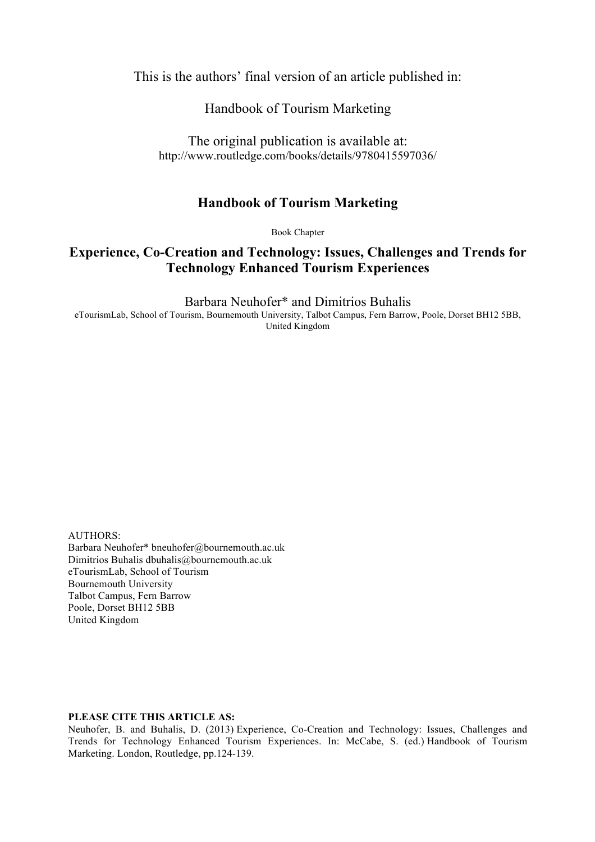This is the authors' final version of an article published in:

Handbook of Tourism Marketing

The original publication is available at: http://www.routledge.com/books/details/9780415597036/

## **Handbook of Tourism Marketing**

Book Chapter

# **Experience, Co-Creation and Technology: Issues, Challenges and Trends for Technology Enhanced Tourism Experiences**

Barbara Neuhofer\* and Dimitrios Buhalis eTourismLab, School of Tourism, Bournemouth University, Talbot Campus, Fern Barrow, Poole, Dorset BH12 5BB,

United Kingdom

AUTHORS: Barbara Neuhofer\* bneuhofer@bournemouth.ac.uk Dimitrios Buhalis dbuhalis@bournemouth.ac.uk eTourismLab, School of Tourism Bournemouth University Talbot Campus, Fern Barrow Poole, Dorset BH12 5BB United Kingdom

#### **PLEASE CITE THIS ARTICLE AS:**

Neuhofer, B. and Buhalis, D. (2013) Experience, Co-Creation and Technology: Issues, Challenges and Trends for Technology Enhanced Tourism Experiences. In: McCabe, S. (ed.) Handbook of Tourism Marketing. London, Routledge, pp.124-139.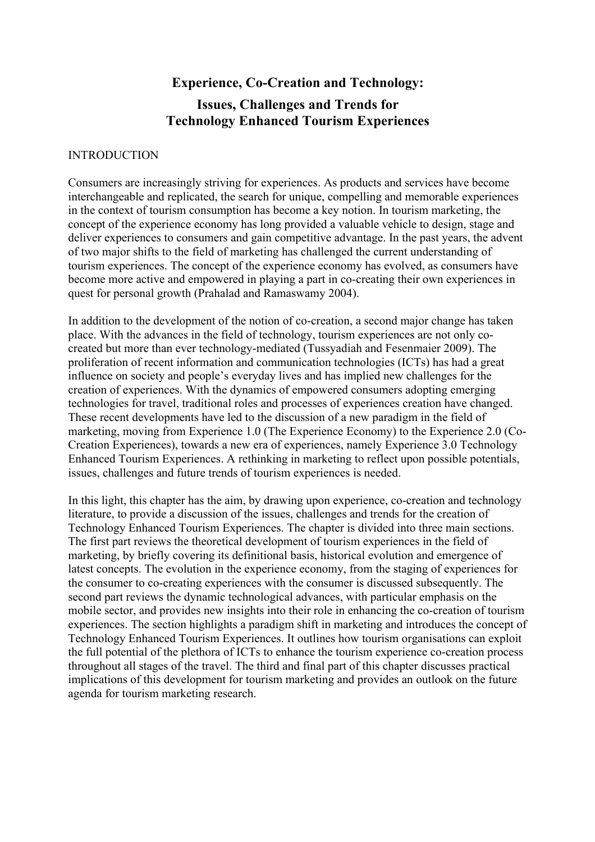## **Experience, Co-Creation and Technology:**

# **Issues, Challenges and Trends for Technology Enhanced Tourism Experiences**

#### INTRODUCTION

Consumers are increasingly striving for experiences. As products and services have become interchangeable and replicated, the search for unique, compelling and memorable experiences in the context of tourism consumption has become a key notion. In tourism marketing, the concept of the experience economy has long provided a valuable vehicle to design, stage and deliver experiences to consumers and gain competitive advantage. In the past years, the advent of two major shifts to the field of marketing has challenged the current understanding of tourism experiences. The concept of the experience economy has evolved, as consumers have become more active and empowered in playing a part in co-creating their own experiences in quest for personal growth (Prahalad and Ramaswamy 2004).

In addition to the development of the notion of co-creation, a second major change has taken place. With the advances in the field of technology, tourism experiences are not only cocreated but more than ever technology-mediated (Tussyadiah and Fesenmaier 2009). The proliferation of recent information and communication technologies (ICTs) has had a great influence on society and people's everyday lives and has implied new challenges for the creation of experiences. With the dynamics of empowered consumers adopting emerging technologies for travel, traditional roles and processes of experiences creation have changed. These recent developments have led to the discussion of a new paradigm in the field of marketing, moving from Experience 1.0 (The Experience Economy) to the Experience 2.0 (Co-Creation Experiences), towards a new era of experiences, namely Experience 3.0 Technology Enhanced Tourism Experiences. A rethinking in marketing to reflect upon possible potentials, issues, challenges and future trends of tourism experiences is needed.

In this light, this chapter has the aim, by drawing upon experience, co-creation and technology literature, to provide a discussion of the issues, challenges and trends for the creation of Technology Enhanced Tourism Experiences. The chapter is divided into three main sections. The first part reviews the theoretical development of tourism experiences in the field of marketing, by briefly covering its definitional basis, historical evolution and emergence of latest concepts. The evolution in the experience economy, from the staging of experiences for the consumer to co-creating experiences with the consumer is discussed subsequently. The second part reviews the dynamic technological advances, with particular emphasis on the mobile sector, and provides new insights into their role in enhancing the co-creation of tourism experiences. The section highlights a paradigm shift in marketing and introduces the concept of Technology Enhanced Tourism Experiences. It outlines how tourism organisations can exploit the full potential of the plethora of ICTs to enhance the tourism experience co-creation process throughout all stages of the travel. The third and final part of this chapter discusses practical implications of this development for tourism marketing and provides an outlook on the future agenda for tourism marketing research.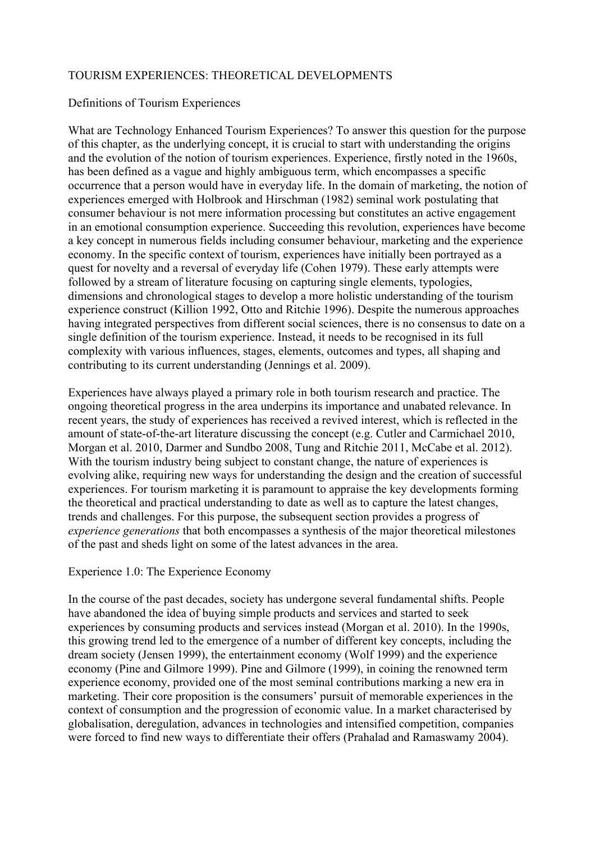## TOURISM EXPERIENCES: THEORETICAL DEVELOPMENTS

### Definitions of Tourism Experiences

What are Technology Enhanced Tourism Experiences? To answer this question for the purpose of this chapter, as the underlying concept, it is crucial to start with understanding the origins and the evolution of the notion of tourism experiences. Experience, firstly noted in the 1960s, has been defined as a vague and highly ambiguous term, which encompasses a specific occurrence that a person would have in everyday life. In the domain of marketing, the notion of experiences emerged with Holbrook and Hirschman (1982) seminal work postulating that consumer behaviour is not mere information processing but constitutes an active engagement in an emotional consumption experience. Succeeding this revolution, experiences have become a key concept in numerous fields including consumer behaviour, marketing and the experience economy. In the specific context of tourism, experiences have initially been portrayed as a quest for novelty and a reversal of everyday life (Cohen 1979). These early attempts were followed by a stream of literature focusing on capturing single elements, typologies, dimensions and chronological stages to develop a more holistic understanding of the tourism experience construct (Killion 1992, Otto and Ritchie 1996). Despite the numerous approaches having integrated perspectives from different social sciences, there is no consensus to date on a single definition of the tourism experience. Instead, it needs to be recognised in its full complexity with various influences, stages, elements, outcomes and types, all shaping and contributing to its current understanding (Jennings et al. 2009).

Experiences have always played a primary role in both tourism research and practice. The ongoing theoretical progress in the area underpins its importance and unabated relevance. In recent years, the study of experiences has received a revived interest, which is reflected in the amount of state-of-the-art literature discussing the concept (e.g. Cutler and Carmichael 2010, Morgan et al. 2010, Darmer and Sundbo 2008, Tung and Ritchie 2011, McCabe et al. 2012). With the tourism industry being subject to constant change, the nature of experiences is evolving alike, requiring new ways for understanding the design and the creation of successful experiences. For tourism marketing it is paramount to appraise the key developments forming the theoretical and practical understanding to date as well as to capture the latest changes, trends and challenges. For this purpose, the subsequent section provides a progress of *experience generations* that both encompasses a synthesis of the major theoretical milestones of the past and sheds light on some of the latest advances in the area.

#### Experience 1.0: The Experience Economy

In the course of the past decades, society has undergone several fundamental shifts. People have abandoned the idea of buying simple products and services and started to seek experiences by consuming products and services instead (Morgan et al. 2010). In the 1990s, this growing trend led to the emergence of a number of different key concepts, including the dream society (Jensen 1999), the entertainment economy (Wolf 1999) and the experience economy (Pine and Gilmore 1999). Pine and Gilmore (1999), in coining the renowned term experience economy, provided one of the most seminal contributions marking a new era in marketing. Their core proposition is the consumers' pursuit of memorable experiences in the context of consumption and the progression of economic value. In a market characterised by globalisation, deregulation, advances in technologies and intensified competition, companies were forced to find new ways to differentiate their offers (Prahalad and Ramaswamy 2004).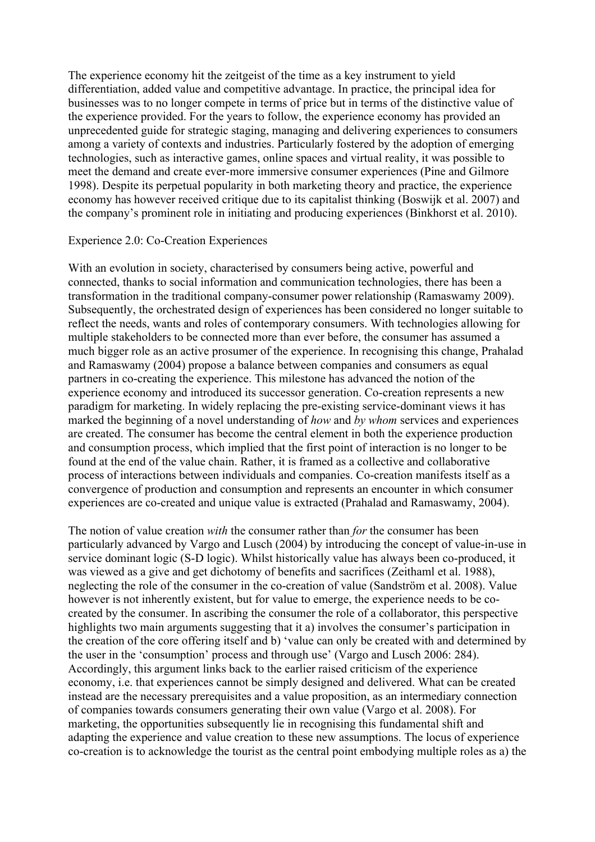The experience economy hit the zeitgeist of the time as a key instrument to yield differentiation, added value and competitive advantage. In practice, the principal idea for businesses was to no longer compete in terms of price but in terms of the distinctive value of the experience provided. For the years to follow, the experience economy has provided an unprecedented guide for strategic staging, managing and delivering experiences to consumers among a variety of contexts and industries. Particularly fostered by the adoption of emerging technologies, such as interactive games, online spaces and virtual reality, it was possible to meet the demand and create ever-more immersive consumer experiences (Pine and Gilmore 1998). Despite its perpetual popularity in both marketing theory and practice, the experience economy has however received critique due to its capitalist thinking (Boswijk et al. 2007) and the company's prominent role in initiating and producing experiences (Binkhorst et al. 2010).

#### Experience 2.0: Co-Creation Experiences

With an evolution in society, characterised by consumers being active, powerful and connected, thanks to social information and communication technologies, there has been a transformation in the traditional company-consumer power relationship (Ramaswamy 2009). Subsequently, the orchestrated design of experiences has been considered no longer suitable to reflect the needs, wants and roles of contemporary consumers. With technologies allowing for multiple stakeholders to be connected more than ever before, the consumer has assumed a much bigger role as an active prosumer of the experience. In recognising this change, Prahalad and Ramaswamy (2004) propose a balance between companies and consumers as equal partners in co-creating the experience. This milestone has advanced the notion of the experience economy and introduced its successor generation. Co-creation represents a new paradigm for marketing. In widely replacing the pre-existing service-dominant views it has marked the beginning of a novel understanding of *how* and *by whom* services and experiences are created. The consumer has become the central element in both the experience production and consumption process, which implied that the first point of interaction is no longer to be found at the end of the value chain. Rather, it is framed as a collective and collaborative process of interactions between individuals and companies. Co-creation manifests itself as a convergence of production and consumption and represents an encounter in which consumer experiences are co-created and unique value is extracted (Prahalad and Ramaswamy, 2004).

The notion of value creation *with* the consumer rather than *for* the consumer has been particularly advanced by Vargo and Lusch (2004) by introducing the concept of value-in-use in service dominant logic (S-D logic). Whilst historically value has always been co-produced, it was viewed as a give and get dichotomy of benefits and sacrifices (Zeithaml et al. 1988), neglecting the role of the consumer in the co-creation of value (Sandström et al. 2008). Value however is not inherently existent, but for value to emerge, the experience needs to be cocreated by the consumer. In ascribing the consumer the role of a collaborator, this perspective highlights two main arguments suggesting that it a) involves the consumer's participation in the creation of the core offering itself and b) 'value can only be created with and determined by the user in the 'consumption' process and through use' (Vargo and Lusch 2006: 284). Accordingly, this argument links back to the earlier raised criticism of the experience economy, i.e. that experiences cannot be simply designed and delivered. What can be created instead are the necessary prerequisites and a value proposition, as an intermediary connection of companies towards consumers generating their own value (Vargo et al. 2008). For marketing, the opportunities subsequently lie in recognising this fundamental shift and adapting the experience and value creation to these new assumptions. The locus of experience co-creation is to acknowledge the tourist as the central point embodying multiple roles as a) the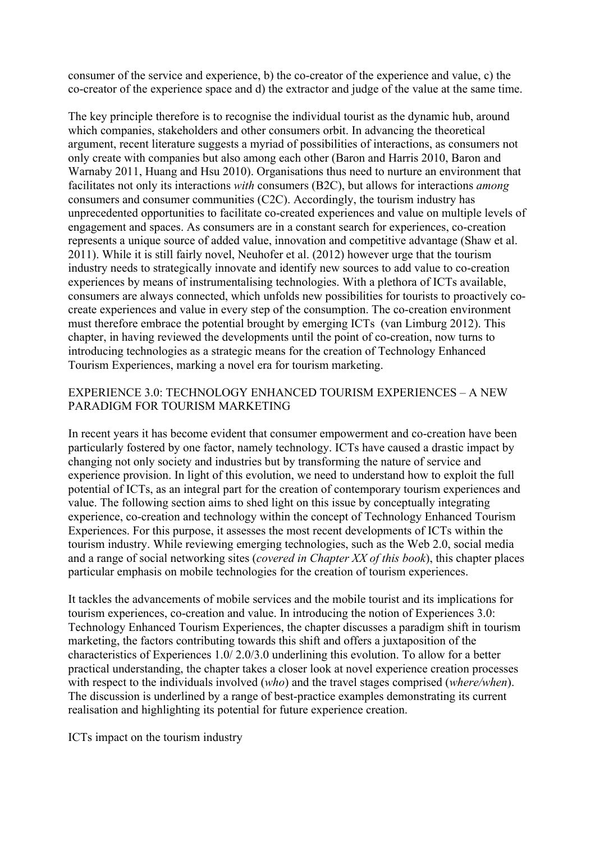consumer of the service and experience, b) the co-creator of the experience and value, c) the co-creator of the experience space and d) the extractor and judge of the value at the same time.

The key principle therefore is to recognise the individual tourist as the dynamic hub, around which companies, stakeholders and other consumers orbit. In advancing the theoretical argument, recent literature suggests a myriad of possibilities of interactions, as consumers not only create with companies but also among each other (Baron and Harris 2010, Baron and Warnaby 2011, Huang and Hsu 2010). Organisations thus need to nurture an environment that facilitates not only its interactions *with* consumers (B2C), but allows for interactions *among* consumers and consumer communities (C2C). Accordingly, the tourism industry has unprecedented opportunities to facilitate co-created experiences and value on multiple levels of engagement and spaces. As consumers are in a constant search for experiences, co-creation represents a unique source of added value, innovation and competitive advantage (Shaw et al. 2011). While it is still fairly novel, Neuhofer et al. (2012) however urge that the tourism industry needs to strategically innovate and identify new sources to add value to co-creation experiences by means of instrumentalising technologies. With a plethora of ICTs available, consumers are always connected, which unfolds new possibilities for tourists to proactively cocreate experiences and value in every step of the consumption. The co-creation environment must therefore embrace the potential brought by emerging ICTs (van Limburg 2012). This chapter, in having reviewed the developments until the point of co-creation, now turns to introducing technologies as a strategic means for the creation of Technology Enhanced Tourism Experiences, marking a novel era for tourism marketing.

### EXPERIENCE 3.0: TECHNOLOGY ENHANCED TOURISM EXPERIENCES – A NEW PARADIGM FOR TOURISM MARKETING

In recent years it has become evident that consumer empowerment and co-creation have been particularly fostered by one factor, namely technology. ICTs have caused a drastic impact by changing not only society and industries but by transforming the nature of service and experience provision. In light of this evolution, we need to understand how to exploit the full potential of ICTs, as an integral part for the creation of contemporary tourism experiences and value. The following section aims to shed light on this issue by conceptually integrating experience, co-creation and technology within the concept of Technology Enhanced Tourism Experiences. For this purpose, it assesses the most recent developments of ICTs within the tourism industry. While reviewing emerging technologies, such as the Web 2.0, social media and a range of social networking sites (*covered in Chapter XX of this book*), this chapter places particular emphasis on mobile technologies for the creation of tourism experiences.

It tackles the advancements of mobile services and the mobile tourist and its implications for tourism experiences, co-creation and value. In introducing the notion of Experiences 3.0: Technology Enhanced Tourism Experiences, the chapter discusses a paradigm shift in tourism marketing, the factors contributing towards this shift and offers a juxtaposition of the characteristics of Experiences 1.0/ 2.0/3.0 underlining this evolution. To allow for a better practical understanding, the chapter takes a closer look at novel experience creation processes with respect to the individuals involved (*who*) and the travel stages comprised (*where/when*). The discussion is underlined by a range of best-practice examples demonstrating its current realisation and highlighting its potential for future experience creation.

ICTs impact on the tourism industry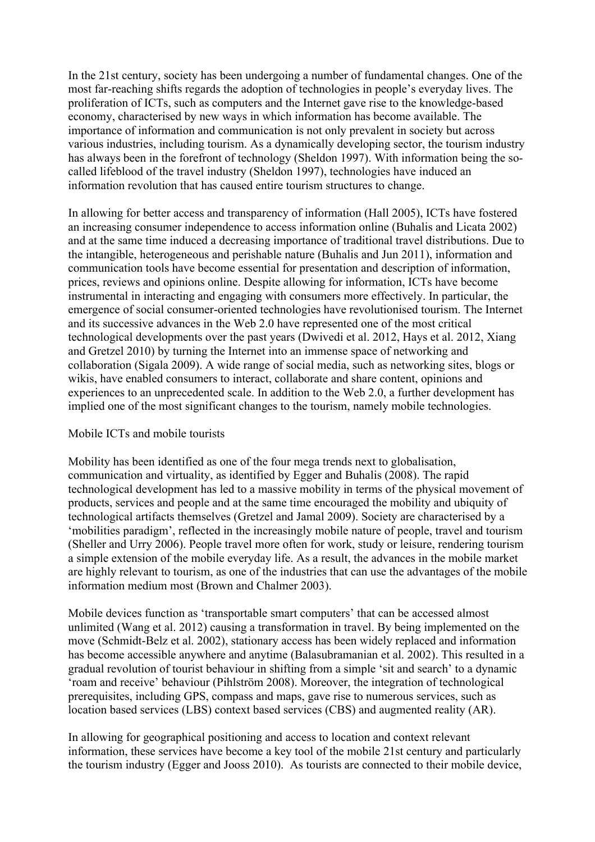In the 21st century, society has been undergoing a number of fundamental changes. One of the most far-reaching shifts regards the adoption of technologies in people's everyday lives. The proliferation of ICTs, such as computers and the Internet gave rise to the knowledge-based economy, characterised by new ways in which information has become available. The importance of information and communication is not only prevalent in society but across various industries, including tourism. As a dynamically developing sector, the tourism industry has always been in the forefront of technology (Sheldon 1997). With information being the socalled lifeblood of the travel industry (Sheldon 1997), technologies have induced an information revolution that has caused entire tourism structures to change.

In allowing for better access and transparency of information (Hall 2005), ICTs have fostered an increasing consumer independence to access information online (Buhalis and Licata 2002) and at the same time induced a decreasing importance of traditional travel distributions. Due to the intangible, heterogeneous and perishable nature (Buhalis and Jun 2011), information and communication tools have become essential for presentation and description of information, prices, reviews and opinions online. Despite allowing for information, ICTs have become instrumental in interacting and engaging with consumers more effectively. In particular, the emergence of social consumer-oriented technologies have revolutionised tourism. The Internet and its successive advances in the Web 2.0 have represented one of the most critical technological developments over the past years (Dwivedi et al. 2012, Hays et al. 2012, Xiang and Gretzel 2010) by turning the Internet into an immense space of networking and collaboration (Sigala 2009). A wide range of social media, such as networking sites, blogs or wikis, have enabled consumers to interact, collaborate and share content, opinions and experiences to an unprecedented scale. In addition to the Web 2.0, a further development has implied one of the most significant changes to the tourism, namely mobile technologies.

#### Mobile ICTs and mobile tourists

Mobility has been identified as one of the four mega trends next to globalisation, communication and virtuality, as identified by Egger and Buhalis (2008). The rapid technological development has led to a massive mobility in terms of the physical movement of products, services and people and at the same time encouraged the mobility and ubiquity of technological artifacts themselves (Gretzel and Jamal 2009). Society are characterised by a 'mobilities paradigm', reflected in the increasingly mobile nature of people, travel and tourism (Sheller and Urry 2006). People travel more often for work, study or leisure, rendering tourism a simple extension of the mobile everyday life. As a result, the advances in the mobile market are highly relevant to tourism, as one of the industries that can use the advantages of the mobile information medium most (Brown and Chalmer 2003).

Mobile devices function as 'transportable smart computers' that can be accessed almost unlimited (Wang et al. 2012) causing a transformation in travel. By being implemented on the move (Schmidt-Belz et al. 2002), stationary access has been widely replaced and information has become accessible anywhere and anytime (Balasubramanian et al. 2002). This resulted in a gradual revolution of tourist behaviour in shifting from a simple 'sit and search' to a dynamic 'roam and receive' behaviour (Pihlström 2008). Moreover, the integration of technological prerequisites, including GPS, compass and maps, gave rise to numerous services, such as location based services (LBS) context based services (CBS) and augmented reality (AR).

In allowing for geographical positioning and access to location and context relevant information, these services have become a key tool of the mobile 21st century and particularly the tourism industry (Egger and Jooss 2010). As tourists are connected to their mobile device,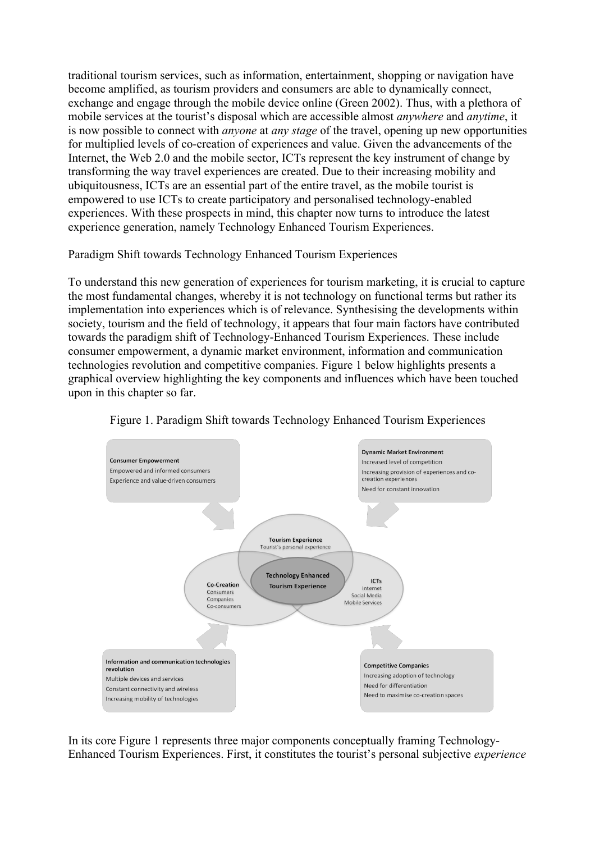traditional tourism services, such as information, entertainment, shopping or navigation have become amplified, as tourism providers and consumers are able to dynamically connect, exchange and engage through the mobile device online (Green 2002). Thus, with a plethora of mobile services at the tourist's disposal which are accessible almost *anywhere* and *anytime*, it is now possible to connect with *anyone* at *any stage* of the travel, opening up new opportunities for multiplied levels of co-creation of experiences and value. Given the advancements of the Internet, the Web 2.0 and the mobile sector, ICTs represent the key instrument of change by transforming the way travel experiences are created. Due to their increasing mobility and ubiquitousness, ICTs are an essential part of the entire travel, as the mobile tourist is empowered to use ICTs to create participatory and personalised technology-enabled experiences. With these prospects in mind, this chapter now turns to introduce the latest experience generation, namely Technology Enhanced Tourism Experiences.

Paradigm Shift towards Technology Enhanced Tourism Experiences

To understand this new generation of experiences for tourism marketing, it is crucial to capture the most fundamental changes, whereby it is not technology on functional terms but rather its implementation into experiences which is of relevance. Synthesising the developments within society, tourism and the field of technology, it appears that four main factors have contributed towards the paradigm shift of Technology-Enhanced Tourism Experiences. These include consumer empowerment, a dynamic market environment, information and communication technologies revolution and competitive companies. Figure 1 below highlights presents a graphical overview highlighting the key components and influences which have been touched upon in this chapter so far.



Figure 1. Paradigm Shift towards Technology Enhanced Tourism Experiences

In its core Figure 1 represents three major components conceptually framing Technology-Enhanced Tourism Experiences. First, it constitutes the tourist's personal subjective *experience*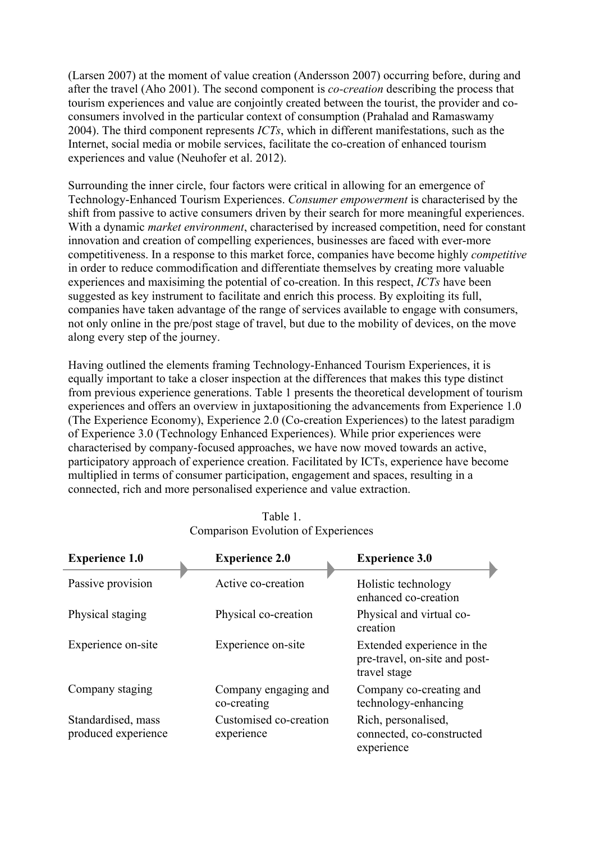(Larsen 2007) at the moment of value creation (Andersson 2007) occurring before, during and after the travel (Aho 2001). The second component is *co-creation* describing the process that tourism experiences and value are conjointly created between the tourist, the provider and coconsumers involved in the particular context of consumption (Prahalad and Ramaswamy 2004). The third component represents *ICTs*, which in different manifestations, such as the Internet, social media or mobile services, facilitate the co-creation of enhanced tourism experiences and value (Neuhofer et al. 2012).

Surrounding the inner circle, four factors were critical in allowing for an emergence of Technology-Enhanced Tourism Experiences. *Consumer empowerment* is characterised by the shift from passive to active consumers driven by their search for more meaningful experiences. With a dynamic *market environment*, characterised by increased competition, need for constant innovation and creation of compelling experiences, businesses are faced with ever-more competitiveness. In a response to this market force, companies have become highly *competitive* in order to reduce commodification and differentiate themselves by creating more valuable experiences and maxisiming the potential of co-creation. In this respect, *ICTs* have been suggested as key instrument to facilitate and enrich this process. By exploiting its full, companies have taken advantage of the range of services available to engage with consumers, not only online in the pre/post stage of travel, but due to the mobility of devices, on the move along every step of the journey.

Having outlined the elements framing Technology-Enhanced Tourism Experiences, it is equally important to take a closer inspection at the differences that makes this type distinct from previous experience generations. Table 1 presents the theoretical development of tourism experiences and offers an overview in juxtapositioning the advancements from Experience 1.0 (The Experience Economy), Experience 2.0 (Co-creation Experiences) to the latest paradigm of Experience 3.0 (Technology Enhanced Experiences). While prior experiences were characterised by company-focused approaches, we have now moved towards an active, participatory approach of experience creation. Facilitated by ICTs, experience have become multiplied in terms of consumer participation, engagement and spaces, resulting in a connected, rich and more personalised experience and value extraction.

| <b>Experience 1.0</b>                     | <b>Experience 2.0</b>                | <b>Experience 3.0</b>                                                       |
|-------------------------------------------|--------------------------------------|-----------------------------------------------------------------------------|
| Passive provision                         | Active co-creation                   | Holistic technology<br>enhanced co-creation                                 |
| Physical staging                          | Physical co-creation                 | Physical and virtual co-<br>creation                                        |
| Experience on-site                        | Experience on-site                   | Extended experience in the<br>pre-travel, on-site and post-<br>travel stage |
| Company staging                           | Company engaging and<br>co-creating  | Company co-creating and<br>technology-enhancing                             |
| Standardised, mass<br>produced experience | Customised co-creation<br>experience | Rich, personalised,<br>connected, co-constructed<br>experience              |

Table 1. Comparison Evolution of Experiences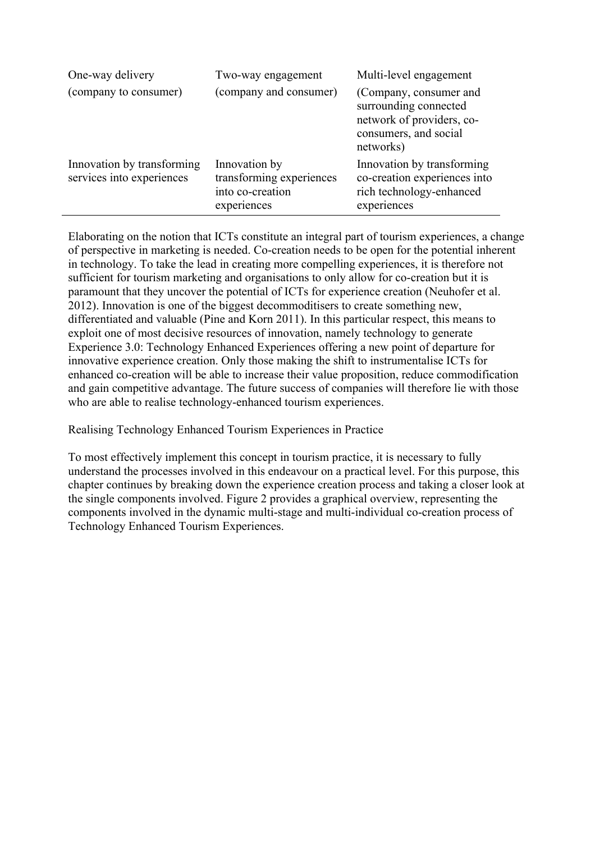| One-way delivery                                        | Two-way engagement                                                           | Multi-level engagement                                                                                             |
|---------------------------------------------------------|------------------------------------------------------------------------------|--------------------------------------------------------------------------------------------------------------------|
| (company to consumer)                                   | (company and consumer)                                                       | (Company, consumer and<br>surrounding connected<br>network of providers, co-<br>consumers, and social<br>networks) |
| Innovation by transforming<br>services into experiences | Innovation by<br>transforming experiences<br>into co-creation<br>experiences | Innovation by transforming<br>co-creation experiences into<br>rich technology-enhanced<br>experiences              |

Elaborating on the notion that ICTs constitute an integral part of tourism experiences, a change of perspective in marketing is needed. Co-creation needs to be open for the potential inherent in technology. To take the lead in creating more compelling experiences, it is therefore not sufficient for tourism marketing and organisations to only allow for co-creation but it is paramount that they uncover the potential of ICTs for experience creation (Neuhofer et al. 2012). Innovation is one of the biggest decommoditisers to create something new, differentiated and valuable (Pine and Korn 2011). In this particular respect, this means to exploit one of most decisive resources of innovation, namely technology to generate Experience 3.0: Technology Enhanced Experiences offering a new point of departure for innovative experience creation. Only those making the shift to instrumentalise ICTs for enhanced co-creation will be able to increase their value proposition, reduce commodification and gain competitive advantage. The future success of companies will therefore lie with those who are able to realise technology-enhanced tourism experiences.

Realising Technology Enhanced Tourism Experiences in Practice

To most effectively implement this concept in tourism practice, it is necessary to fully understand the processes involved in this endeavour on a practical level. For this purpose, this chapter continues by breaking down the experience creation process and taking a closer look at the single components involved. Figure 2 provides a graphical overview, representing the components involved in the dynamic multi-stage and multi-individual co-creation process of Technology Enhanced Tourism Experiences.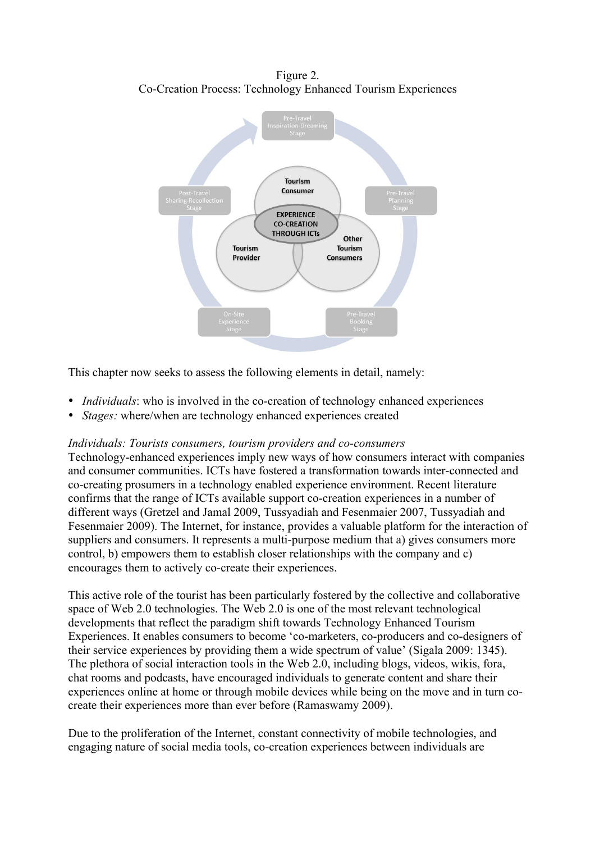Figure 2. Co-Creation Process: Technology Enhanced Tourism Experiences



This chapter now seeks to assess the following elements in detail, namely:

- *Individuals*: who is involved in the co-creation of technology enhanced experiences
- *Stages:* where/when are technology enhanced experiences created

## *Individuals: Tourists consumers, tourism providers and co-consumers*

Technology-enhanced experiences imply new ways of how consumers interact with companies and consumer communities. ICTs have fostered a transformation towards inter-connected and co-creating prosumers in a technology enabled experience environment. Recent literature confirms that the range of ICTs available support co-creation experiences in a number of different ways (Gretzel and Jamal 2009, Tussyadiah and Fesenmaier 2007, Tussyadiah and Fesenmaier 2009). The Internet, for instance, provides a valuable platform for the interaction of suppliers and consumers. It represents a multi-purpose medium that a) gives consumers more control, b) empowers them to establish closer relationships with the company and c) encourages them to actively co-create their experiences.

This active role of the tourist has been particularly fostered by the collective and collaborative space of Web 2.0 technologies. The Web 2.0 is one of the most relevant technological developments that reflect the paradigm shift towards Technology Enhanced Tourism Experiences. It enables consumers to become 'co-marketers, co-producers and co-designers of their service experiences by providing them a wide spectrum of value' (Sigala 2009: 1345). The plethora of social interaction tools in the Web 2.0, including blogs, videos, wikis, fora, chat rooms and podcasts, have encouraged individuals to generate content and share their experiences online at home or through mobile devices while being on the move and in turn cocreate their experiences more than ever before (Ramaswamy 2009).

Due to the proliferation of the Internet, constant connectivity of mobile technologies, and engaging nature of social media tools, co-creation experiences between individuals are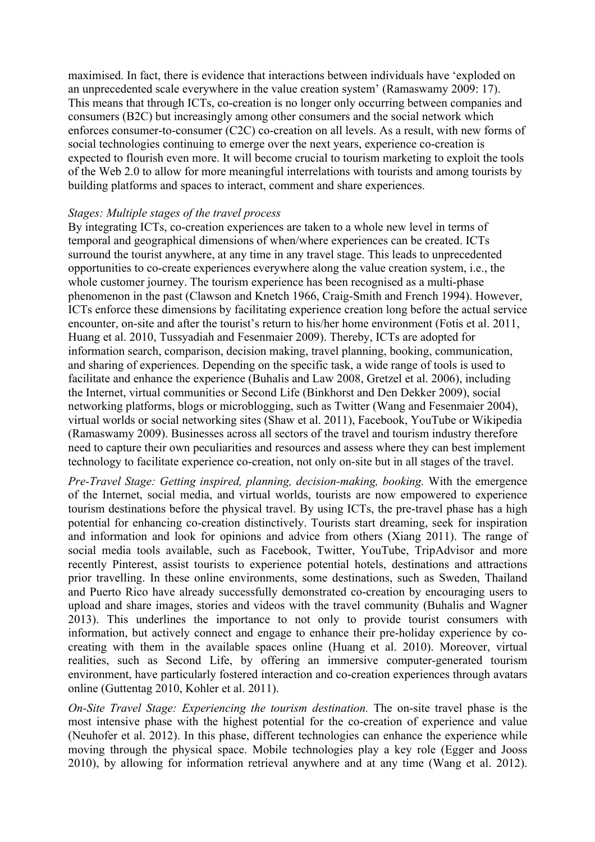maximised. In fact, there is evidence that interactions between individuals have 'exploded on an unprecedented scale everywhere in the value creation system' (Ramaswamy 2009: 17). This means that through ICTs, co-creation is no longer only occurring between companies and consumers (B2C) but increasingly among other consumers and the social network which enforces consumer-to-consumer (C2C) co-creation on all levels. As a result, with new forms of social technologies continuing to emerge over the next years, experience co-creation is expected to flourish even more. It will become crucial to tourism marketing to exploit the tools of the Web 2.0 to allow for more meaningful interrelations with tourists and among tourists by building platforms and spaces to interact, comment and share experiences.

#### *Stages: Multiple stages of the travel process*

By integrating ICTs, co-creation experiences are taken to a whole new level in terms of temporal and geographical dimensions of when/where experiences can be created. ICTs surround the tourist anywhere, at any time in any travel stage. This leads to unprecedented opportunities to co-create experiences everywhere along the value creation system, i.e., the whole customer journey. The tourism experience has been recognised as a multi-phase phenomenon in the past (Clawson and Knetch 1966, Craig-Smith and French 1994). However, ICTs enforce these dimensions by facilitating experience creation long before the actual service encounter, on-site and after the tourist's return to his/her home environment (Fotis et al. 2011, Huang et al. 2010, Tussyadiah and Fesenmaier 2009). Thereby, ICTs are adopted for information search, comparison, decision making, travel planning, booking, communication, and sharing of experiences. Depending on the specific task, a wide range of tools is used to facilitate and enhance the experience (Buhalis and Law 2008, Gretzel et al. 2006), including the Internet, virtual communities or Second Life (Binkhorst and Den Dekker 2009), social networking platforms, blogs or microblogging, such as Twitter (Wang and Fesenmaier 2004), virtual worlds or social networking sites (Shaw et al. 2011), Facebook, YouTube or Wikipedia (Ramaswamy 2009). Businesses across all sectors of the travel and tourism industry therefore need to capture their own peculiarities and resources and assess where they can best implement technology to facilitate experience co-creation, not only on-site but in all stages of the travel.

*Pre-Travel Stage: Getting inspired, planning, decision-making, booking.* With the emergence of the Internet, social media, and virtual worlds, tourists are now empowered to experience tourism destinations before the physical travel. By using ICTs, the pre-travel phase has a high potential for enhancing co-creation distinctively. Tourists start dreaming, seek for inspiration and information and look for opinions and advice from others (Xiang 2011). The range of social media tools available, such as Facebook, Twitter, YouTube, TripAdvisor and more recently Pinterest, assist tourists to experience potential hotels, destinations and attractions prior travelling. In these online environments, some destinations, such as Sweden, Thailand and Puerto Rico have already successfully demonstrated co-creation by encouraging users to upload and share images, stories and videos with the travel community (Buhalis and Wagner 2013). This underlines the importance to not only to provide tourist consumers with information, but actively connect and engage to enhance their pre-holiday experience by cocreating with them in the available spaces online (Huang et al. 2010). Moreover, virtual realities, such as Second Life, by offering an immersive computer-generated tourism environment, have particularly fostered interaction and co-creation experiences through avatars online (Guttentag 2010, Kohler et al. 2011).

*On-Site Travel Stage: Experiencing the tourism destination.* The on-site travel phase is the most intensive phase with the highest potential for the co-creation of experience and value (Neuhofer et al. 2012). In this phase, different technologies can enhance the experience while moving through the physical space. Mobile technologies play a key role (Egger and Jooss 2010), by allowing for information retrieval anywhere and at any time (Wang et al. 2012).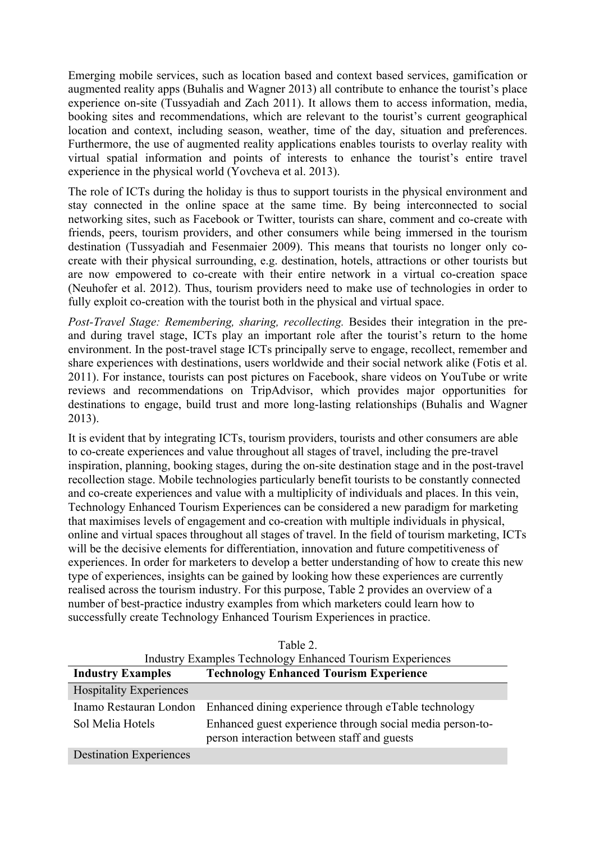Emerging mobile services, such as location based and context based services, gamification or augmented reality apps (Buhalis and Wagner 2013) all contribute to enhance the tourist's place experience on-site (Tussyadiah and Zach 2011). It allows them to access information, media, booking sites and recommendations, which are relevant to the tourist's current geographical location and context, including season, weather, time of the day, situation and preferences. Furthermore, the use of augmented reality applications enables tourists to overlay reality with virtual spatial information and points of interests to enhance the tourist's entire travel experience in the physical world (Yovcheva et al. 2013).

The role of ICTs during the holiday is thus to support tourists in the physical environment and stay connected in the online space at the same time. By being interconnected to social networking sites, such as Facebook or Twitter, tourists can share, comment and co-create with friends, peers, tourism providers, and other consumers while being immersed in the tourism destination (Tussyadiah and Fesenmaier 2009). This means that tourists no longer only cocreate with their physical surrounding, e.g. destination, hotels, attractions or other tourists but are now empowered to co-create with their entire network in a virtual co-creation space (Neuhofer et al. 2012). Thus, tourism providers need to make use of technologies in order to fully exploit co-creation with the tourist both in the physical and virtual space.

*Post-Travel Stage: Remembering, sharing, recollecting.* Besides their integration in the preand during travel stage, ICTs play an important role after the tourist's return to the home environment. In the post-travel stage ICTs principally serve to engage, recollect, remember and share experiences with destinations, users worldwide and their social network alike (Fotis et al. 2011). For instance, tourists can post pictures on Facebook, share videos on YouTube or write reviews and recommendations on TripAdvisor, which provides major opportunities for destinations to engage, build trust and more long-lasting relationships (Buhalis and Wagner 2013).

It is evident that by integrating ICTs, tourism providers, tourists and other consumers are able to co-create experiences and value throughout all stages of travel, including the pre-travel inspiration, planning, booking stages, during the on-site destination stage and in the post-travel recollection stage. Mobile technologies particularly benefit tourists to be constantly connected and co-create experiences and value with a multiplicity of individuals and places. In this vein, Technology Enhanced Tourism Experiences can be considered a new paradigm for marketing that maximises levels of engagement and co-creation with multiple individuals in physical, online and virtual spaces throughout all stages of travel. In the field of tourism marketing, ICTs will be the decisive elements for differentiation, innovation and future competitiveness of experiences. In order for marketers to develop a better understanding of how to create this new type of experiences, insights can be gained by looking how these experiences are currently realised across the tourism industry. For this purpose, Table 2 provides an overview of a number of best-practice industry examples from which marketers could learn how to successfully create Technology Enhanced Tourism Experiences in practice.

| <b>Industry Examples Technology Enhanced Tourism Experiences</b> |                                                                                                          |  |
|------------------------------------------------------------------|----------------------------------------------------------------------------------------------------------|--|
| <b>Industry Examples</b>                                         | <b>Technology Enhanced Tourism Experience</b>                                                            |  |
| <b>Hospitality Experiences</b>                                   |                                                                                                          |  |
| Inamo Restauran London                                           | Enhanced dining experience through eTable technology                                                     |  |
| Sol Melia Hotels                                                 | Enhanced guest experience through social media person-to-<br>person interaction between staff and guests |  |
| <b>Destination Experiences</b>                                   |                                                                                                          |  |

 $T<sub>ab</sub>l<sub>a</sub>$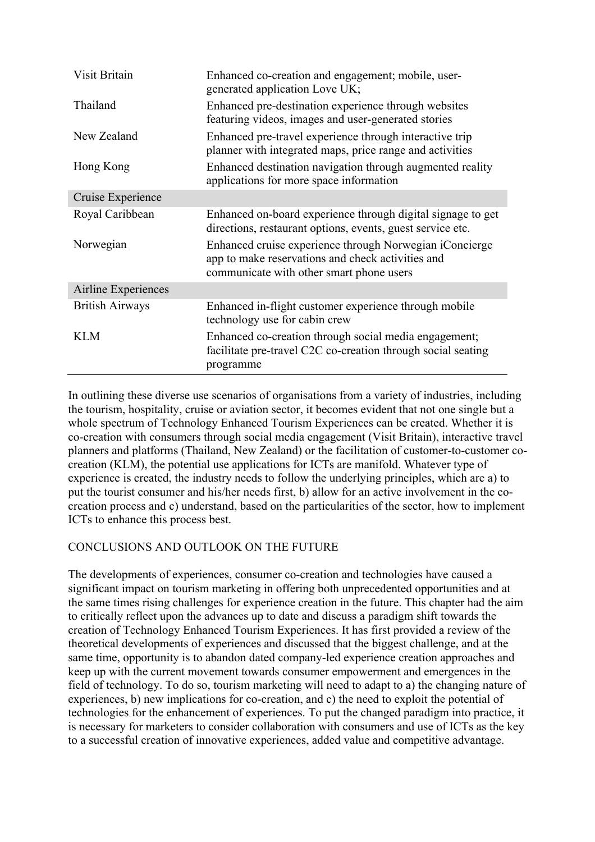| Visit Britain          | Enhanced co-creation and engagement; mobile, user-<br>generated application Love UK;                                                                     |
|------------------------|----------------------------------------------------------------------------------------------------------------------------------------------------------|
| Thailand               | Enhanced pre-destination experience through websites<br>featuring videos, images and user-generated stories                                              |
| New Zealand            | Enhanced pre-travel experience through interactive trip<br>planner with integrated maps, price range and activities                                      |
| Hong Kong              | Enhanced destination navigation through augmented reality<br>applications for more space information                                                     |
| Cruise Experience      |                                                                                                                                                          |
| Royal Caribbean        | Enhanced on-board experience through digital signage to get<br>directions, restaurant options, events, guest service etc.                                |
| Norwegian              | Enhanced cruise experience through Norwegian iConcierge<br>app to make reservations and check activities and<br>communicate with other smart phone users |
| Airline Experiences    |                                                                                                                                                          |
| <b>British Airways</b> | Enhanced in-flight customer experience through mobile<br>technology use for cabin crew                                                                   |
| <b>KLM</b>             | Enhanced co-creation through social media engagement;<br>facilitate pre-travel C2C co-creation through social seating<br>programme                       |

In outlining these diverse use scenarios of organisations from a variety of industries, including the tourism, hospitality, cruise or aviation sector, it becomes evident that not one single but a whole spectrum of Technology Enhanced Tourism Experiences can be created. Whether it is co-creation with consumers through social media engagement (Visit Britain), interactive travel planners and platforms (Thailand, New Zealand) or the facilitation of customer-to-customer cocreation (KLM), the potential use applications for ICTs are manifold. Whatever type of experience is created, the industry needs to follow the underlying principles, which are a) to put the tourist consumer and his/her needs first, b) allow for an active involvement in the cocreation process and c) understand, based on the particularities of the sector, how to implement ICTs to enhance this process best.

## CONCLUSIONS AND OUTLOOK ON THE FUTURE

The developments of experiences, consumer co-creation and technologies have caused a significant impact on tourism marketing in offering both unprecedented opportunities and at the same times rising challenges for experience creation in the future. This chapter had the aim to critically reflect upon the advances up to date and discuss a paradigm shift towards the creation of Technology Enhanced Tourism Experiences. It has first provided a review of the theoretical developments of experiences and discussed that the biggest challenge, and at the same time, opportunity is to abandon dated company-led experience creation approaches and keep up with the current movement towards consumer empowerment and emergences in the field of technology. To do so, tourism marketing will need to adapt to a) the changing nature of experiences, b) new implications for co-creation, and c) the need to exploit the potential of technologies for the enhancement of experiences. To put the changed paradigm into practice, it is necessary for marketers to consider collaboration with consumers and use of ICTs as the key to a successful creation of innovative experiences, added value and competitive advantage.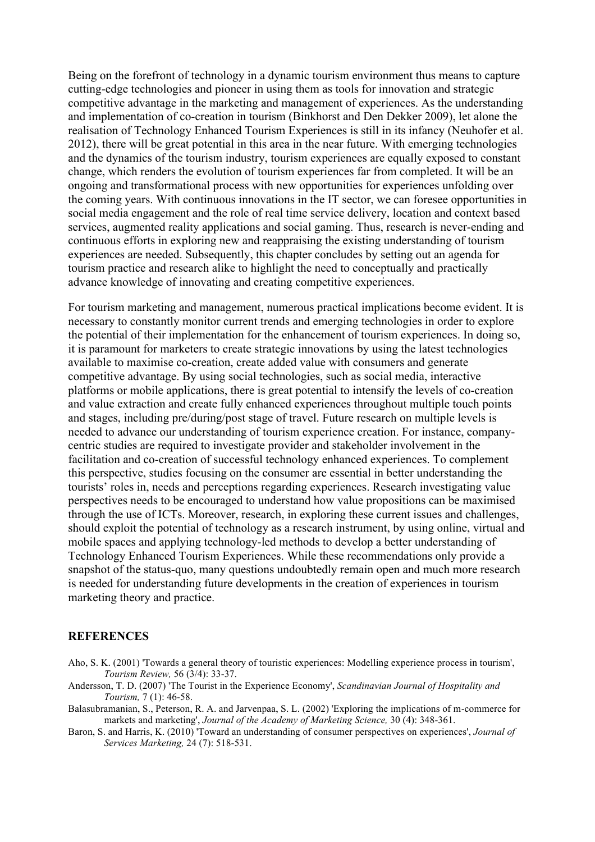Being on the forefront of technology in a dynamic tourism environment thus means to capture cutting-edge technologies and pioneer in using them as tools for innovation and strategic competitive advantage in the marketing and management of experiences. As the understanding and implementation of co-creation in tourism (Binkhorst and Den Dekker 2009), let alone the realisation of Technology Enhanced Tourism Experiences is still in its infancy (Neuhofer et al. 2012), there will be great potential in this area in the near future. With emerging technologies and the dynamics of the tourism industry, tourism experiences are equally exposed to constant change, which renders the evolution of tourism experiences far from completed. It will be an ongoing and transformational process with new opportunities for experiences unfolding over the coming years. With continuous innovations in the IT sector, we can foresee opportunities in social media engagement and the role of real time service delivery, location and context based services, augmented reality applications and social gaming. Thus, research is never-ending and continuous efforts in exploring new and reappraising the existing understanding of tourism experiences are needed. Subsequently, this chapter concludes by setting out an agenda for tourism practice and research alike to highlight the need to conceptually and practically advance knowledge of innovating and creating competitive experiences.

For tourism marketing and management, numerous practical implications become evident. It is necessary to constantly monitor current trends and emerging technologies in order to explore the potential of their implementation for the enhancement of tourism experiences. In doing so, it is paramount for marketers to create strategic innovations by using the latest technologies available to maximise co-creation, create added value with consumers and generate competitive advantage. By using social technologies, such as social media, interactive platforms or mobile applications, there is great potential to intensify the levels of co-creation and value extraction and create fully enhanced experiences throughout multiple touch points and stages, including pre/during/post stage of travel. Future research on multiple levels is needed to advance our understanding of tourism experience creation. For instance, companycentric studies are required to investigate provider and stakeholder involvement in the facilitation and co-creation of successful technology enhanced experiences. To complement this perspective, studies focusing on the consumer are essential in better understanding the tourists' roles in, needs and perceptions regarding experiences. Research investigating value perspectives needs to be encouraged to understand how value propositions can be maximised through the use of ICTs. Moreover, research, in exploring these current issues and challenges, should exploit the potential of technology as a research instrument, by using online, virtual and mobile spaces and applying technology-led methods to develop a better understanding of Technology Enhanced Tourism Experiences. While these recommendations only provide a snapshot of the status-quo, many questions undoubtedly remain open and much more research is needed for understanding future developments in the creation of experiences in tourism marketing theory and practice.

#### **REFERENCES**

Aho, S. K. (2001) 'Towards a general theory of touristic experiences: Modelling experience process in tourism', *Tourism Review,* 56 (3/4): 33-37.

Andersson, T. D. (2007) 'The Tourist in the Experience Economy', *Scandinavian Journal of Hospitality and Tourism,* 7 (1): 46-58.

Balasubramanian, S., Peterson, R. A. and Jarvenpaa, S. L. (2002) 'Exploring the implications of m-commerce for markets and marketing', *Journal of the Academy of Marketing Science,* 30 (4): 348-361.

Baron, S. and Harris, K. (2010) 'Toward an understanding of consumer perspectives on experiences', *Journal of Services Marketing,* 24 (7): 518-531.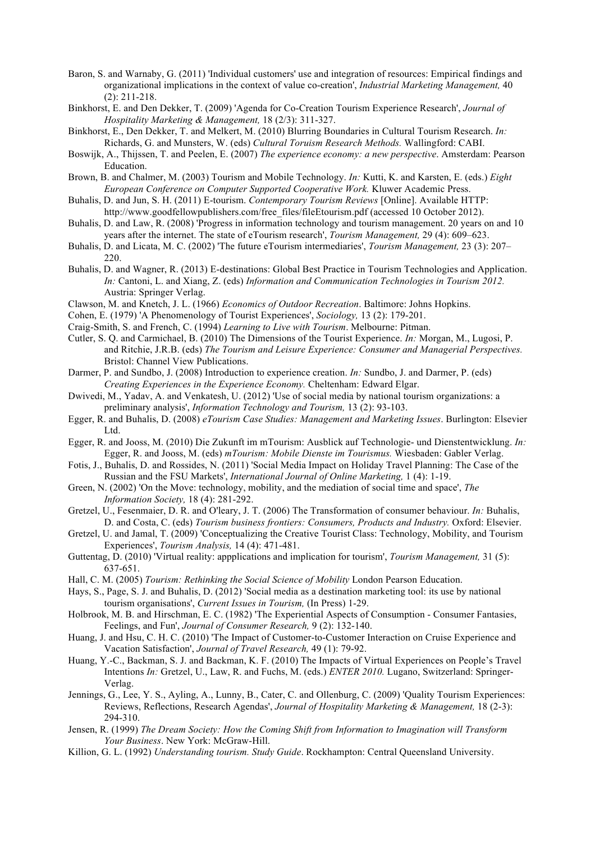- Baron, S. and Warnaby, G. (2011) 'Individual customers' use and integration of resources: Empirical findings and organizational implications in the context of value co-creation', *Industrial Marketing Management,* 40 (2): 211-218.
- Binkhorst, E. and Den Dekker, T. (2009) 'Agenda for Co-Creation Tourism Experience Research', *Journal of Hospitality Marketing & Management,* 18 (2/3): 311-327.
- Binkhorst, E., Den Dekker, T. and Melkert, M. (2010) Blurring Boundaries in Cultural Tourism Research. *In:* Richards, G. and Munsters, W. (eds) *Cultural Toruism Research Methods.* Wallingford: CABI.
- Boswijk, A., Thijssen, T. and Peelen, E. (2007) *The experience economy: a new perspective*. Amsterdam: Pearson Education.
- Brown, B. and Chalmer, M. (2003) Tourism and Mobile Technology. *In:* Kutti, K. and Karsten, E. (eds.) *Eight European Conference on Computer Supported Cooperative Work.* Kluwer Academic Press.
- Buhalis, D. and Jun, S. H. (2011) E-tourism. *Contemporary Tourism Reviews* [Online]. Available HTTP: http://www.goodfellowpublishers.com/free\_files/fileEtourism.pdf (accessed 10 October 2012).
- Buhalis, D. and Law, R. (2008) 'Progress in information technology and tourism management. 20 years on and 10 years after the internet. The state of eTourism research', *Tourism Management,* 29 (4): 609–623.
- Buhalis, D. and Licata, M. C. (2002) 'The future eTourism intermediaries', *Tourism Management,* 23 (3): 207– 220.
- Buhalis, D. and Wagner, R. (2013) E-destinations: Global Best Practice in Tourism Technologies and Application. *In:* Cantoni, L. and Xiang, Z. (eds) *Information and Communication Technologies in Tourism 2012.* Austria: Springer Verlag.
- Clawson, M. and Knetch, J. L. (1966) *Economics of Outdoor Recreation*. Baltimore: Johns Hopkins.
- Cohen, E. (1979) 'A Phenomenology of Tourist Experiences', *Sociology,* 13 (2): 179-201.
- Craig-Smith, S. and French, C. (1994) *Learning to Live with Tourism*. Melbourne: Pitman.
- Cutler, S. Q. and Carmichael, B. (2010) The Dimensions of the Tourist Experience. *In:* Morgan, M., Lugosi, P. and Ritchie, J.R.B. (eds) *The Tourism and Leisure Experience: Consumer and Managerial Perspectives.* Bristol: Channel View Publications.
- Darmer, P. and Sundbo, J. (2008) Introduction to experience creation. *In:* Sundbo, J. and Darmer, P. (eds) *Creating Experiences in the Experience Economy.* Cheltenham: Edward Elgar.
- Dwivedi, M., Yadav, A. and Venkatesh, U. (2012) 'Use of social media by national tourism organizations: a preliminary analysis', *Information Technology and Tourism,* 13 (2): 93-103.
- Egger, R. and Buhalis, D. (2008) *eTourism Case Studies: Management and Marketing Issues*. Burlington: Elsevier Ltd.
- Egger, R. and Jooss, M. (2010) Die Zukunft im mTourism: Ausblick auf Technologie- und Dienstentwicklung. *In:* Egger, R. and Jooss, M. (eds) *mTourism: Mobile Dienste im Tourismus.* Wiesbaden: Gabler Verlag.
- Fotis, J., Buhalis, D. and Rossides, N. (2011) 'Social Media Impact on Holiday Travel Planning: The Case of the Russian and the FSU Markets', *International Journal of Online Marketing,* 1 (4): 1-19.
- Green, N. (2002) 'On the Move: technology, mobility, and the mediation of social time and space', *The Information Society,* 18 (4): 281-292.
- Gretzel, U., Fesenmaier, D. R. and O'leary, J. T. (2006) The Transformation of consumer behaviour. *In:* Buhalis, D. and Costa, C. (eds) *Tourism business frontiers: Consumers, Products and Industry.* Oxford: Elsevier.
- Gretzel, U. and Jamal, T. (2009) 'Conceptualizing the Creative Tourist Class: Technology, Mobility, and Tourism Experiences', *Tourism Analysis,* 14 (4): 471-481.
- Guttentag, D. (2010) 'Virtual reality: appplications and implication for tourism', *Tourism Management,* 31 (5): 637-651.
- Hall, C. M. (2005) *Tourism: Rethinking the Social Science of Mobility* London Pearson Education.
- Hays, S., Page, S. J. and Buhalis, D. (2012) 'Social media as a destination marketing tool: its use by national tourism organisations', *Current Issues in Tourism,* (In Press) 1-29.
- Holbrook, M. B. and Hirschman, E. C. (1982) 'The Experiential Aspects of Consumption Consumer Fantasies, Feelings, and Fun', *Journal of Consumer Research,* 9 (2): 132-140.
- Huang, J. and Hsu, C. H. C. (2010) 'The Impact of Customer-to-Customer Interaction on Cruise Experience and Vacation Satisfaction', *Journal of Travel Research,* 49 (1): 79-92.
- Huang, Y.-C., Backman, S. J. and Backman, K. F. (2010) The Impacts of Virtual Experiences on People's Travel Intentions *In:* Gretzel, U., Law, R. and Fuchs, M. (eds.) *ENTER 2010.* Lugano, Switzerland: Springer-Verlag.
- Jennings, G., Lee, Y. S., Ayling, A., Lunny, B., Cater, C. and Ollenburg, C. (2009) 'Quality Tourism Experiences: Reviews, Reflections, Research Agendas', *Journal of Hospitality Marketing & Management,* 18 (2-3): 294-310.
- Jensen, R. (1999) *The Dream Society: How the Coming Shift from Information to Imagination will Transform Your Business*. New York: McGraw-Hill.
- Killion, G. L. (1992) *Understanding tourism. Study Guide*. Rockhampton: Central Queensland University.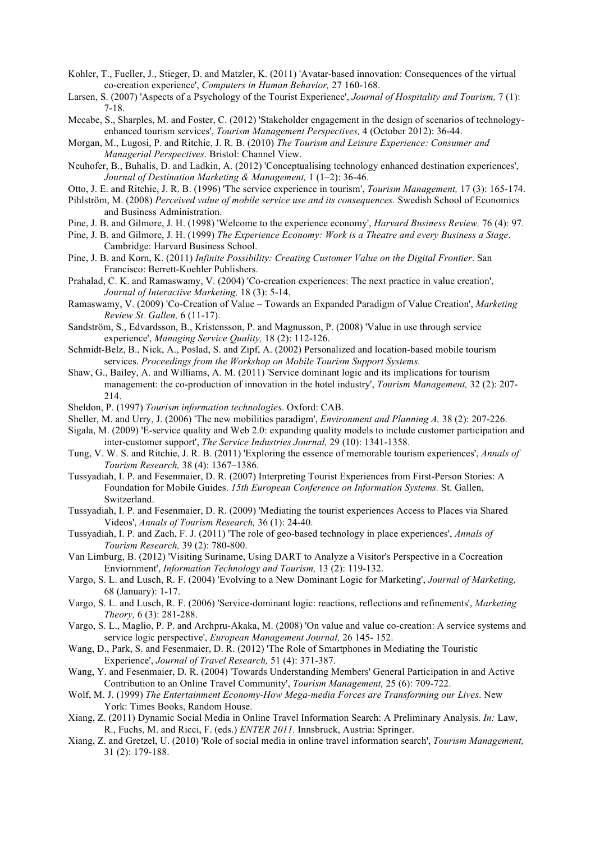- Kohler, T., Fueller, J., Stieger, D. and Matzler, K. (2011) 'Avatar-based innovation: Consequences of the virtual co-creation experience', *Computers in Human Behavior,* 27 160-168.
- Larsen, S. (2007) 'Aspects of a Psychology of the Tourist Experience', *Journal of Hospitality and Tourism,* 7 (1): 7-18.
- Mccabe, S., Sharples, M. and Foster, C. (2012) 'Stakeholder engagement in the design of scenarios of technologyenhanced tourism services', *Tourism Management Perspectives,* 4 (October 2012): 36-44.
- Morgan, M., Lugosi, P. and Ritchie, J. R. B. (2010) *The Tourism and Leisure Experience: Consumer and Managerial Perspectives*. Bristol: Channel View.
- Neuhofer, B., Buhalis, D. and Ladkin, A. (2012) 'Conceptualising technology enhanced destination experiences', *Journal of Destination Marketing & Management,* 1 (1–2): 36-46.
- Otto, J. E. and Ritchie, J. R. B. (1996) 'The service experience in tourism', *Tourism Management,* 17 (3): 165-174.
- Pihlström, M. (2008) *Perceived value of mobile service use and its consequences.* Swedish School of Economics and Business Administration.
- Pine, J. B. and Gilmore, J. H. (1998) 'Welcome to the experience economy', *Harvard Business Review,* 76 (4): 97.
- Pine, J. B. and Gilmore, J. H. (1999) *The Experience Economy: Work is a Theatre and every Business a Stage*. Cambridge: Harvard Business School.
- Pine, J. B. and Korn, K. (2011) *Infinite Possibility: Creating Customer Value on the Digital Frontier*. San Francisco: Berrett-Koehler Publishers.
- Prahalad, C. K. and Ramaswamy, V. (2004) 'Co-creation experiences: The next practice in value creation', *Journal of Interactive Marketing,* 18 (3): 5-14.
- Ramaswamy, V. (2009) 'Co-Creation of Value Towards an Expanded Paradigm of Value Creation', *Marketing Review St. Gallen,* 6 (11-17).
- Sandström, S., Edvardsson, B., Kristensson, P. and Magnusson, P. (2008) 'Value in use through service experience', *Managing Service Quality,* 18 (2): 112-126.
- Schmidt-Belz, B., Nick, A., Poslad, S. and Zipf, A. (2002) Personalized and location-based mobile tourism services. *Proceedings from the Workshop on Mobile Tourism Support Systems.*
- Shaw, G., Bailey, A. and Williams, A. M. (2011) 'Service dominant logic and its implications for tourism management: the co-production of innovation in the hotel industry', *Tourism Management,* 32 (2): 207- 214.
- Sheldon, P. (1997) *Tourism information technologies*. Oxford: CAB.
- Sheller, M. and Urry, J. (2006) 'The new mobilities paradigm', *Environment and Planning A,* 38 (2): 207-226.
- Sigala, M. (2009) 'E-service quality and Web 2.0: expanding quality models to include customer participation and inter-customer support', *The Service Industries Journal,* 29 (10): 1341-1358.
- Tung, V. W. S. and Ritchie, J. R. B. (2011) 'Exploring the essence of memorable tourism experiences', *Annals of Tourism Research,* 38 (4): 1367–1386.
- Tussyadiah, I. P. and Fesenmaier, D. R. (2007) Interpreting Tourist Experiences from First-Person Stories: A Foundation for Mobile Guides. *15th European Conference on Information Systems.* St. Gallen, Switzerland.
- Tussyadiah, I. P. and Fesenmaier, D. R. (2009) 'Mediating the tourist experiences Access to Places via Shared Videos', *Annals of Tourism Research,* 36 (1): 24-40.
- Tussyadiah, I. P. and Zach, F. J. (2011) 'The role of geo-based technology in place experiences', *Annals of Tourism Research,* 39 (2): 780-800.
- Van Limburg, B. (2012) 'Visiting Suriname, Using DART to Analyze a Visitor's Perspective in a Cocreation Enviornment', *Information Technology and Tourism,* 13 (2): 119-132.
- Vargo, S. L. and Lusch, R. F. (2004) 'Evolving to a New Dominant Logic for Marketing', *Journal of Marketing,* 68 (January): 1-17.
- Vargo, S. L. and Lusch, R. F. (2006) 'Service-dominant logic: reactions, reflections and refinements', *Marketing Theory,* 6 (3): 281-288.
- Vargo, S. L., Maglio, P. P. and Archpru-Akaka, M. (2008) 'On value and value co-creation: A service systems and service logic perspective', *European Management Journal,* 26 145- 152.
- Wang, D., Park, S. and Fesenmaier, D. R. (2012) 'The Role of Smartphones in Mediating the Touristic Experience', *Journal of Travel Research,* 51 (4): 371-387.
- Wang, Y. and Fesenmaier, D. R. (2004) 'Towards Understanding Members' General Participation in and Active Contribution to an Online Travel Community', *Tourism Management,* 25 (6): 709-722.
- Wolf, M. J. (1999) *The Entertainment Economy-How Mega-media Forces are Transforming our Lives*. New York: Times Books, Random House.
- Xiang, Z. (2011) Dynamic Social Media in Online Travel Information Search: A Preliminary Analysis. *In:* Law, R., Fuchs, M. and Ricci, F. (eds.) *ENTER 2011.* Innsbruck, Austria: Springer.
- Xiang, Z. and Gretzel, U. (2010) 'Role of social media in online travel information search', *Tourism Management,* 31 (2): 179-188.